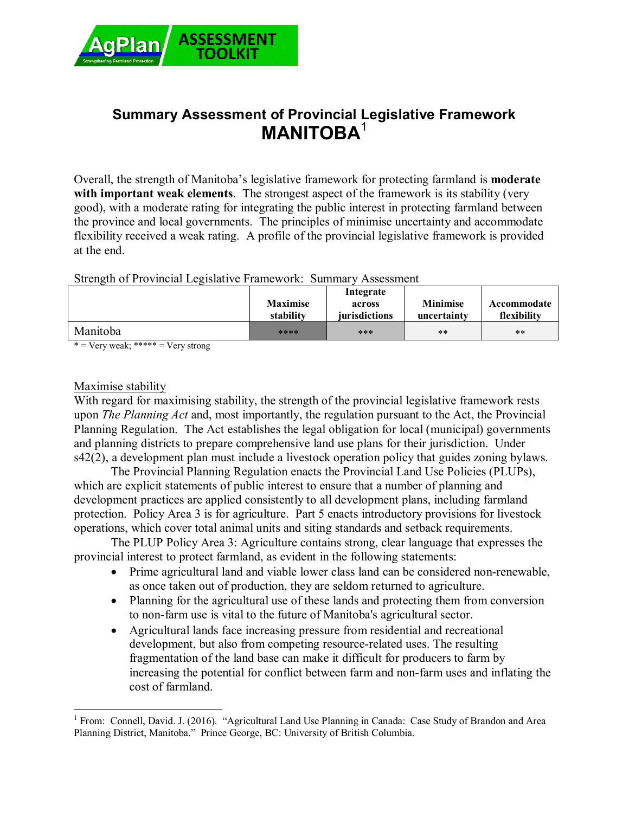

# **Summary Assessment of Provincial Legislative Framework MANITOBA**<sup>1</sup>

Overall, the strength of Manitoba's legislative framework for protecting farmland is **moderate with important weak elements**. The strongest aspect of the framework is its stability (very good), with a moderate rating for integrating the public interest in protecting farmland between the province and local governments. The principles of minimise uncertainty and accommodate flexibility received a weak rating. A profile of the provincial legislative framework is provided at the end.

### Strength of Provincial Legislative Framework: Summary Assessment

|          | <b>Maximise</b><br>stability | Integrate<br>across<br>jurisdictions | <b>Minimise</b><br>uncertainty | Accommodate<br>flexibility |
|----------|------------------------------|--------------------------------------|--------------------------------|----------------------------|
| Manitoba | ****                         | ***                                  | $***$                          | $***$                      |

 $*$  = Very weak; \*\*\*\*\* = Very strong

### Maximise stability

With regard for maximising stability, the strength of the provincial legislative framework rests upon *The Planning Act* and, most importantly, the regulation pursuant to the Act, the Provincial Planning Regulation. The Act establishes the legal obligation for local (municipal) governments and planning districts to prepare comprehensive land use plans for their jurisdiction. Under s42(2), a development plan must include a livestock operation policy that guides zoning bylaws.

The Provincial Planning Regulation enacts the Provincial Land Use Policies (PLUPs), which are explicit statements of public interest to ensure that a number of planning and development practices are applied consistently to all development plans, including farmland protection. Policy Area 3 is for agriculture. Part 5 enacts introductory provisions for livestock operations, which cover total animal units and siting standards and setback requirements.

The PLUP Policy Area 3: Agriculture contains strong, clear language that expresses the provincial interest to protect farmland, as evident in the following statements:

- Prime agricultural land and viable lower class land can be considered non-renewable, as once taken out of production, they are seldom returned to agriculture.
- Planning for the agricultural use of these lands and protecting them from conversion to non-farm use is vital to the future of Manitoba's agricultural sector.
- Agricultural lands face increasing pressure from residential and recreational development, but also from competing resource-related uses. The resulting fragmentation of the land base can make it difficult for producers to farm by increasing the potential for conflict between farm and non-farm uses and inflating the cost of farmland.

 $\overline{a}$ <sup>1</sup> From: Connell, David. J. (2016). "Agricultural Land Use Planning in Canada: Case Study of Brandon and Area Planning District, Manitoba." Prince George, BC: University of British Columbia.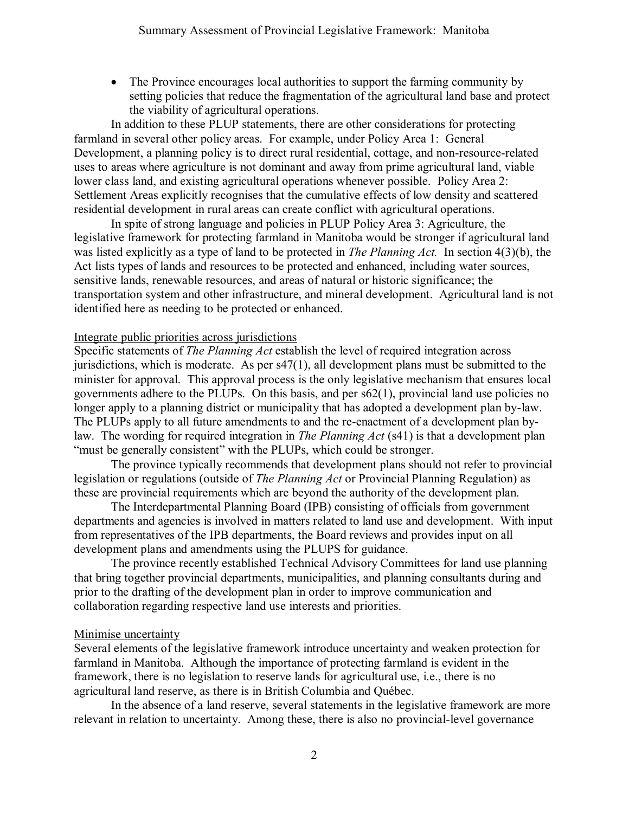The Province encourages local authorities to support the farming community by setting policies that reduce the fragmentation of the agricultural land base and protect the viability of agricultural operations.

In addition to these PLUP statements, there are other considerations for protecting farmland in several other policy areas. For example, under Policy Area 1: General Development, a planning policy is to direct rural residential, cottage, and non-resource-related uses to areas where agriculture is not dominant and away from prime agricultural land, viable lower class land, and existing agricultural operations whenever possible. Policy Area 2: Settlement Areas explicitly recognises that the cumulative effects of low density and scattered residential development in rural areas can create conflict with agricultural operations.

In spite of strong language and policies in PLUP Policy Area 3: Agriculture, the legislative framework for protecting farmland in Manitoba would be stronger if agricultural land was listed explicitly as a type of land to be protected in *The Planning Act.* In section 4(3)(b), the Act lists types of lands and resources to be protected and enhanced, including water sources, sensitive lands, renewable resources, and areas of natural or historic significance; the transportation system and other infrastructure, and mineral development. Agricultural land is not identified here as needing to be protected or enhanced.

### Integrate public priorities across jurisdictions

Specific statements of *The Planning Act* establish the level of required integration across jurisdictions, which is moderate. As per s47(1), all development plans must be submitted to the minister for approval. This approval process is the only legislative mechanism that ensures local governments adhere to the PLUPs. On this basis, and per s62(1), provincial land use policies no longer apply to a planning district or municipality that has adopted a development plan by-law. The PLUPs apply to all future amendments to and the re-enactment of a development plan bylaw. The wording for required integration in *The Planning Act* (s41) is that a development plan "must be generally consistent" with the PLUPs, which could be stronger.

The province typically recommends that development plans should not refer to provincial legislation or regulations (outside of *The Planning Act* or Provincial Planning Regulation) as these are provincial requirements which are beyond the authority of the development plan.

The Interdepartmental Planning Board (IPB) consisting of officials from government departments and agencies is involved in matters related to land use and development. With input from representatives of the IPB departments, the Board reviews and provides input on all development plans and amendments using the PLUPS for guidance.

The province recently established Technical Advisory Committees for land use planning that bring together provincial departments, municipalities, and planning consultants during and prior to the drafting of the development plan in order to improve communication and collaboration regarding respective land use interests and priorities.

### Minimise uncertainty

Several elements of the legislative framework introduce uncertainty and weaken protection for farmland in Manitoba. Although the importance of protecting farmland is evident in the framework, there is no legislation to reserve lands for agricultural use, i.e., there is no agricultural land reserve, as there is in British Columbia and Québec.

In the absence of a land reserve, several statements in the legislative framework are more relevant in relation to uncertainty. Among these, there is also no provincial-level governance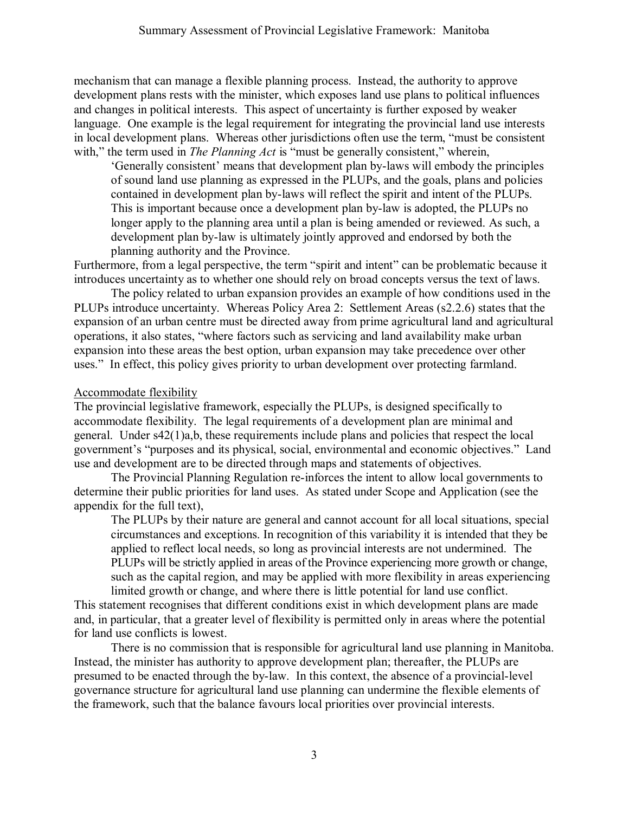mechanism that can manage a flexible planning process. Instead, the authority to approve development plans rests with the minister, which exposes land use plans to political influences and changes in political interests. This aspect of uncertainty is further exposed by weaker language. One example is the legal requirement for integrating the provincial land use interests in local development plans. Whereas other jurisdictions often use the term, "must be consistent with," the term used in *The Planning Act* is "must be generally consistent," wherein,

'Generally consistent' means that development plan by-laws will embody the principles of sound land use planning as expressed in the PLUPs, and the goals, plans and policies contained in development plan by-laws will reflect the spirit and intent of the PLUPs. This is important because once a development plan by-law is adopted, the PLUPs no longer apply to the planning area until a plan is being amended or reviewed. As such, a development plan by-law is ultimately jointly approved and endorsed by both the planning authority and the Province.

Furthermore, from a legal perspective, the term "spirit and intent" can be problematic because it introduces uncertainty as to whether one should rely on broad concepts versus the text of laws.

The policy related to urban expansion provides an example of how conditions used in the PLUPs introduce uncertainty. Whereas Policy Area 2: Settlement Areas (s2.2.6) states that the expansion of an urban centre must be directed away from prime agricultural land and agricultural operations, it also states, "where factors such as servicing and land availability make urban expansion into these areas the best option, urban expansion may take precedence over other uses." In effect, this policy gives priority to urban development over protecting farmland.

## Accommodate flexibility

The provincial legislative framework, especially the PLUPs, is designed specifically to accommodate flexibility. The legal requirements of a development plan are minimal and general. Under s42(1)a,b, these requirements include plans and policies that respect the local government's "purposes and its physical, social, environmental and economic objectives." Land use and development are to be directed through maps and statements of objectives.

The Provincial Planning Regulation re-inforces the intent to allow local governments to determine their public priorities for land uses. As stated under Scope and Application (see the appendix for the full text),

The PLUPs by their nature are general and cannot account for all local situations, special circumstances and exceptions. In recognition of this variability it is intended that they be applied to reflect local needs, so long as provincial interests are not undermined. The PLUPs will be strictly applied in areas of the Province experiencing more growth or change, such as the capital region, and may be applied with more flexibility in areas experiencing limited growth or change, and where there is little potential for land use conflict.

This statement recognises that different conditions exist in which development plans are made and, in particular, that a greater level of flexibility is permitted only in areas where the potential for land use conflicts is lowest.

There is no commission that is responsible for agricultural land use planning in Manitoba. Instead, the minister has authority to approve development plan; thereafter, the PLUPs are presumed to be enacted through the by-law. In this context, the absence of a provincial-level governance structure for agricultural land use planning can undermine the flexible elements of the framework, such that the balance favours local priorities over provincial interests.